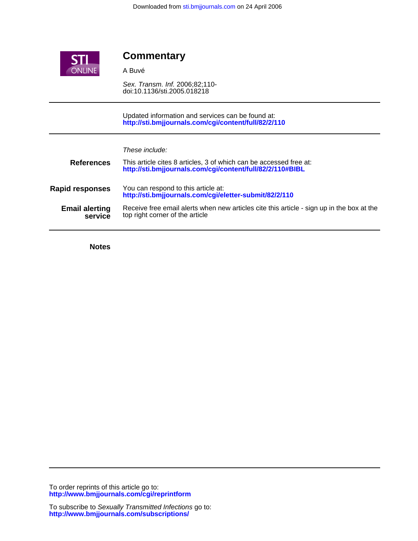

## **Commentary**

A Buvé

doi:10.1136/sti.2005.018218 Sex. Transm. Inf. 2006;82;110-

**<http://sti.bmjjournals.com/cgi/content/full/82/2/110>** Updated information and services can be found at:

| These include: |  |  |
|----------------|--|--|
|                |  |  |

| <b>References</b>                | This article cites 8 articles, 3 of which can be accessed free at:<br>http://sti.bmjjournals.com/cgi/content/full/82/2/110#BIBL |
|----------------------------------|---------------------------------------------------------------------------------------------------------------------------------|
| <b>Rapid responses</b>           | You can respond to this article at:<br>http://sti.bmjjournals.com/cgi/eletter-submit/82/2/110                                   |
| <b>Email alerting</b><br>service | Receive free email alerts when new articles cite this article - sign up in the box at the<br>top right corner of the article    |

**Notes**

**<http://www.bmjjournals.com/cgi/reprintform>** To order reprints of this article go to: